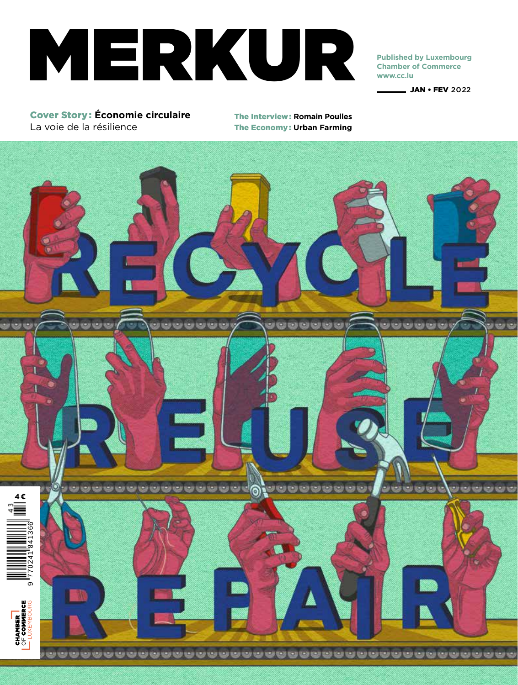

**Published by Luxembourg Chamber of Commerce www.cc.lu**

 $\overline{\phantom{0}}$  JAN • FEV 2022

Cover Story: **Économie circulaire** La voie de la résilience

The Interview: **Romain Poulles** The Economy: **Urban Farming**

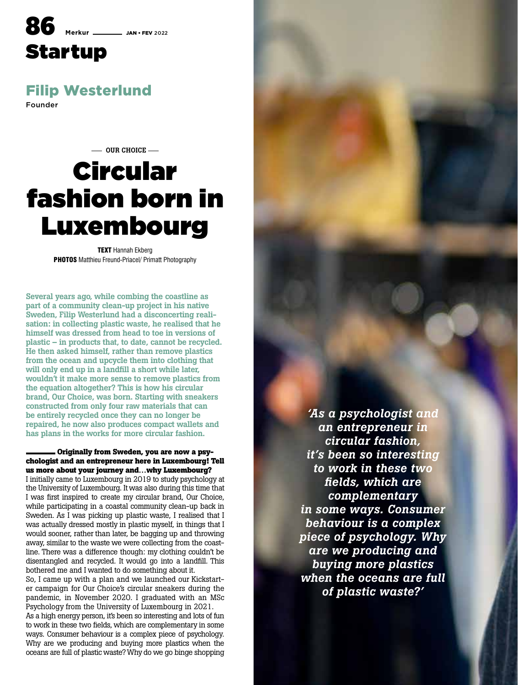## Startup **86** Merkur \_\_\_\_\_\_\_\_ JAN • FEV 2022

### Filip Westerlund

Founder

 $\equiv$  OUR CHOICE  $\equiv$ 

# Circular fashion born in Luxembourg

**TEXT** Hannah Ekberg **PHOTOS** Matthieu Freund-Priacel/ Primatt Photography

Several years ago, while combing the coastline as part of a community clean-up project in his native Sweden, Filip Westerlund had a disconcerting realisation: in collecting plastic waste, he realised that he himself was dressed from head to toe in versions of plastic – in products that, to date, cannot be recycled. He then asked himself, rather than remove plastics from the ocean and upcycle them into clothing that will only end up in a landfill a short while later, wouldn't it make more sense to remove plastics from the equation altogether? This is how his circular brand, Our Choice, was born. Starting with sneakers constructed from only four raw materials that can be entirely recycled once they can no longer be repaired, he now also produces compact wallets and has plans in the works for more circular fashion.

#### **Originally from Sweden, you are now a psychologist and an entrepreneur here in Luxembourg! Tell us more about your journey and…why Luxembourg?**

I initially came to Luxembourg in 2019 to study psychology at the University of Luxembourg. It was also during this time that I was first inspired to create my circular brand, Our Choice, while participating in a coastal community clean-up back in Sweden. As I was picking up plastic waste, I realised that I was actually dressed mostly in plastic myself, in things that I would sooner, rather than later, be bagging up and throwing away, similar to the waste we were collecting from the coastline. There was a difference though: my clothing couldn't be disentangled and recycled. It would go into a landfill. This bothered me and I wanted to do something about it.

So, I came up with a plan and we launched our Kickstarter campaign for Our Choice's circular sneakers during the pandemic, in November 2020. I graduated with an MSc Psychology from the University of Luxembourg in 2021.

As a high energy person, it's been so interesting and lots of fun to work in these two fields, which are complementary in some ways. Consumer behaviour is a complex piece of psychology. Why are we producing and buying more plastics when the oceans are full of plastic waste? Why do we go binge shopping

*'As a psychologist and an entrepreneur in circular fashion, it's been so interesting to work in these two fields, which are complementary in some ways. Consumer behaviour is a complex piece of psychology. Why are we producing and buying more plastics when the oceans are full of plastic waste?'*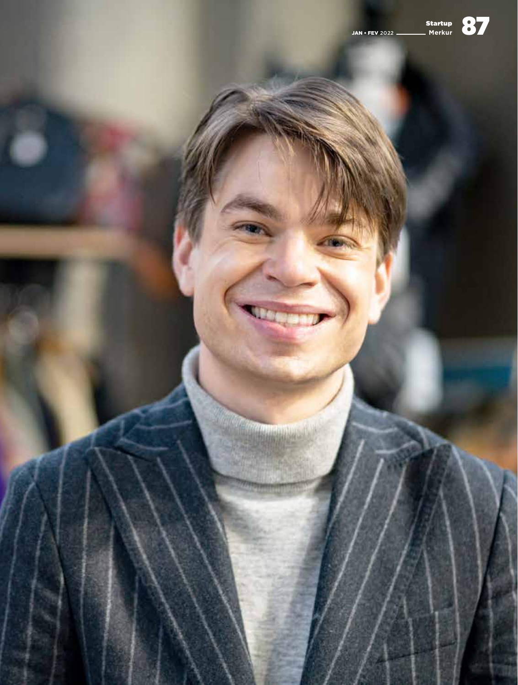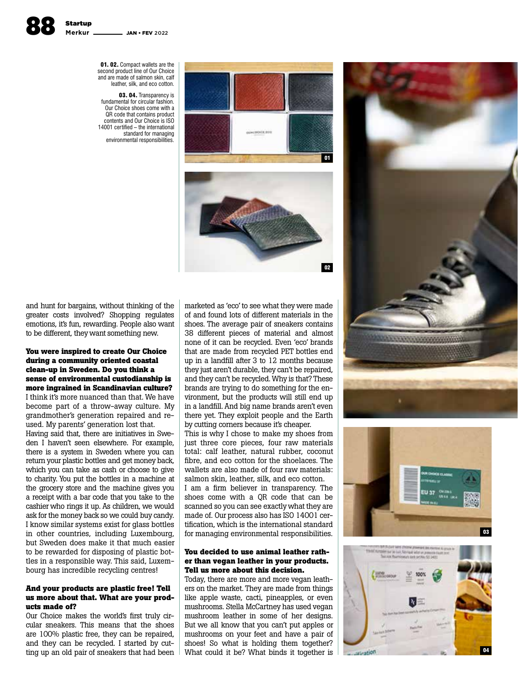01. 02. Compact wallets are the second product line of Our Choice and are made of salmon skin, calf leather, silk, and eco cotton.

03.04. Transparency is fundamental for circular fashion. Our Choice shoes come with a QR code that contains product contents and Our Choice is ISO 14001 certified – the international standard for managing environmental responsibilities.



and hunt for bargains, without thinking of the greater costs involved? Shopping regulates emotions, it's fun, rewarding. People also want to be different, they want something new.

#### **You were inspired to create Our Choice during a community oriented coastal clean-up in Sweden. Do you think a sense of environmental custodianship is more ingrained in Scandinavian culture?**  I think it's more nuanced than that. We have

become part of a throw-away culture. My grandmother's generation repaired and reused. My parents' generation lost that.

Having said that, there are initiatives in Sweden I haven't seen elsewhere. For example, there is a system in Sweden where you can return your plastic bottles and get money back, which you can take as cash or choose to give to charity. You put the bottles in a machine at the grocery store and the machine gives you a receipt with a bar code that you take to the cashier who rings it up. As children, we would ask for the money back so we could buy candy. I know similar systems exist for glass bottles in other countries, including Luxembourg, but Sweden does make it that much easier to be rewarded for disposing of plastic bottles in a responsible way. This said, Luxembourg has incredible recycling centres!

#### **And your products are plastic free! Tell us more about that. What are your products made of?**

Our Choice makes the world's first truly circular sneakers. This means that the shoes are 100% plastic free, they can be repaired, and they can be recycled. I started by cutting up an old pair of sneakers that had been

marketed as 'eco' to see what they were made of and found lots of different materials in the shoes. The average pair of sneakers contains 38 different pieces of material and almost none of it can be recycled. Even 'eco' brands that are made from recycled PET bottles end up in a landfill after 3 to 12 months because they just aren't durable, they can't be repaired, and they can't be recycled. Why is that? These brands are trying to do something for the environment, but the products will still end up in a landfill. And big name brands aren't even there yet. They exploit people and the Earth by cutting corners because it's cheaper.

02

This is why I chose to make my shoes from just three core pieces, four raw materials total: calf leather, natural rubber, coconut fibre, and eco cotton for the shoelaces. The wallets are also made of four raw materials: salmon skin, leather, silk, and eco cotton.

I am a firm believer in transparency. The shoes come with a QR code that can be scanned so you can see exactly what they are made of. Our process also has ISO 14001 certification, which is the international standard for managing environmental responsibilities.

#### **You decided to use animal leather rather than vegan leather in your products. Tell us more about this decision.**

Today, there are more and more vegan leathers on the market. They are made from things like apple waste, cacti, pineapples, or even mushrooms. Stella McCartney has used vegan mushroom leather in some of her designs. But we all know that you can't put apples or mushrooms on your feet and have a pair of shoes! So what is holding them together? What could it be? What binds it together is





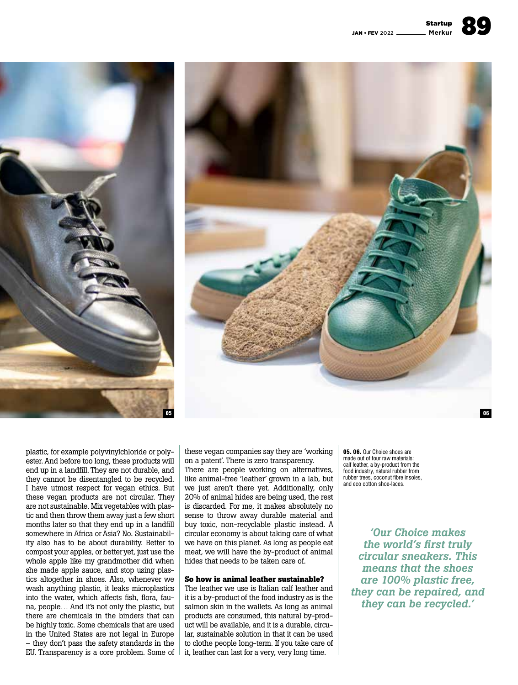Startup 89





plastic, for example polyvinylchloride or polyester. And before too long, these products will end up in a landfill. They are not durable, and they cannot be disentangled to be recycled. I have utmost respect for vegan ethics. But these vegan products are not circular. They are not sustainable. Mix vegetables with plastic and then throw them away just a few short months later so that they end up in a landfill somewhere in Africa or Asia? No. Sustainability also has to be about durability. Better to compost your apples, or better yet, just use the whole apple like my grandmother did when she made apple sauce, and stop using plastics altogether in shoes. Also, whenever we wash anything plastic, it leaks microplastics into the water, which affects fish, flora, fauna, people… And it's not only the plastic, but there are chemicals in the binders that can be highly toxic. Some chemicals that are used in the United States are not legal in Europe – they don't pass the safety standards in the EU. Transparency is a core problem. Some of

these vegan companies say they are 'working on a patent'. There is zero transparency.

There are people working on alternatives, like animal-free 'leather' grown in a lab, but we just aren't there yet. Additionally, only 20% of animal hides are being used, the rest is discarded. For me, it makes absolutely no sense to throw away durable material and buy toxic, non-recyclable plastic instead. A circular economy is about taking care of what we have on this planet. As long as people eat meat, we will have the by-product of animal hides that needs to be taken care of.

#### **So how is animal leather sustainable?**

The leather we use is Italian calf leather and it is a by-product of the food industry as is the salmon skin in the wallets. As long as animal products are consumed, this natural by-product will be available, and it is a durable, circular, sustainable solution in that it can be used to clothe people long-term. If you take care of it, leather can last for a very, very long time.

05. 06. Our Choice shoes are made out of four raw materials: calf leather, a by-product from the food industry, natural rubber from rubber trees, coconut fibre insoles, and eco cotton shoe-laces.

*'Our Choice makes the world's first truly circular sneakers. This means that the shoes are 100% plastic free, they can be repaired, and they can be recycled.'*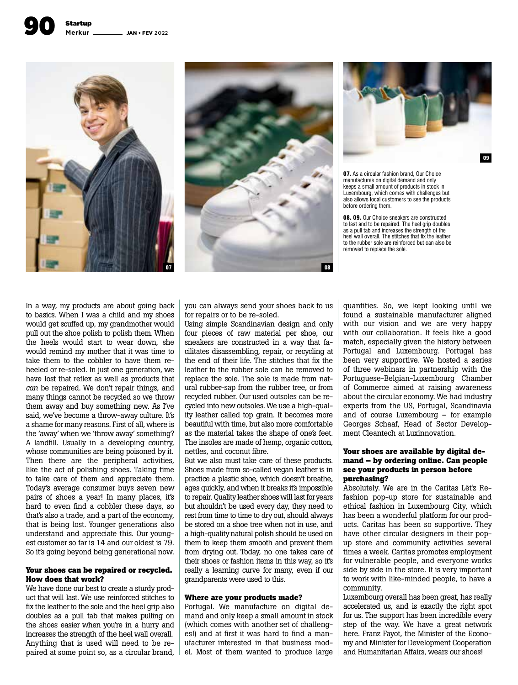





07. As a circular fashion brand, Our Choice manufactures on digital demand and only keeps a small amount of products in stock in Luxembourg, which comes with challenges but also allows local customers to see the products before ordering them.

**08. 09.** Our Choice sneakers are constructed to last and to be repaired. The heel grip doubles as a pull tab and increases the strength of the heel wall overall. The stitches that fix the leather to the rubber sole are reinforced but can also be removed to replace the sole.

In a way, my products are about going back to basics. When I was a child and my shoes would get scuffed up, my grandmother would pull out the shoe polish to polish them. When the heels would start to wear down, she would remind my mother that it was time to take them to the cobbler to have them reheeled or re-soled. In just one generation, we have lost that reflex as well as products that *can* be repaired. We don't repair things, and many things cannot be recycled so we throw them away and buy something new. As I've said, we've become a throw-away culture. It's a shame for many reasons. First of all, where is the 'away' when we 'throw away' something? A landfill. Usually in a developing country, whose communities are being poisoned by it. Then there are the peripheral activities, like the act of polishing shoes. Taking time to take care of them and appreciate them. Today's average consumer buys seven new pairs of shoes a year! In many places, it's hard to even find a cobbler these days, so that's also a trade, and a part of the economy, that is being lost. Younger generations also understand and appreciate this. Our youngest customer so far is 14 and our oldest is 79. So it's going beyond being generational now.

#### **Your shoes can be repaired or recycled. How does that work?**

We have done our best to create a sturdy product that will last. We use reinforced stitches to fix the leather to the sole and the heel grip also doubles as a pull tab that makes pulling on the shoes easier when you're in a hurry and increases the strength of the heel wall overall. Anything that is used will need to be repaired at some point so, as a circular brand,

you can always send your shoes back to us for repairs or to be re-soled.

Using simple Scandinavian design and only four pieces of raw material per shoe, our sneakers are constructed in a way that facilitates disassembling, repair, or recycling at the end of their life. The stitches that fix the leather to the rubber sole can be removed to replace the sole. The sole is made from natural rubber-sap from the rubber tree, or from recycled rubber. Our used outsoles can be recycled into new outsoles. We use a high-quality leather called top grain. It becomes more beautiful with time, but also more comfortable as the material takes the shape of one's feet. The insoles are made of hemp, organic cotton, nettles, and coconut fibre.

But we also must take care of these products. Shoes made from so-called vegan leather is in practice a plastic shoe, which doesn't breathe, ages quickly, and when it breaks it's impossible to repair. Quality leather shoes will last for years but shouldn't be used every day, they need to rest from time to time to dry out, should always be stored on a shoe tree when not in use, and a high-quality natural polish should be used on them to keep them smooth and prevent them from drying out. Today, no one takes care of their shoes or fashion items in this way, so it's really a learning curve for many, even if our grandparents were used to this.

#### **Where are your products made?**

Portugal. We manufacture on digital demand and only keep a small amount in stock (which comes with another set of challenges!) and at first it was hard to find a manufacturer interested in that business model. Most of them wanted to produce large quantities. So, we kept looking until we found a sustainable manufacturer aligned with our vision and we are very happy with our collaboration. It feels like a good match, especially given the history between Portugal and Luxembourg. Portugal has been very supportive. We hosted a series of three webinars in partnership with the Portuguese-Belgian-Luxembourg Chamber of Commerce aimed at raising awareness about the circular economy. We had industry experts from the US, Portugal, Scandinavia and of course Luxembourg – for example Georges Schaaf, Head of Sector Development Cleantech at Luxinnovation.

#### **Your shoes are available by digital demand – by ordering online. Can people see your products in person before purchasing?**

Absolutely. We are in the Caritas Lët'z Refashion pop-up store for sustainable and ethical fashion in Luxembourg City, which has been a wonderful platform for our products. Caritas has been so supportive. They have other circular designers in their popup store and community activities several times a week. Caritas promotes employment for vulnerable people, and everyone works side by side in the store. It is very important to work with like-minded people, to have a community.

Luxembourg overall has been great, has really accelerated us, and is exactly the right spot for us. The support has been incredible every step of the way. We have a great network here. Franz Fayot, the Minister of the Economy and Minister for Development Cooperation and Humanitarian Affairs, wears our shoes!